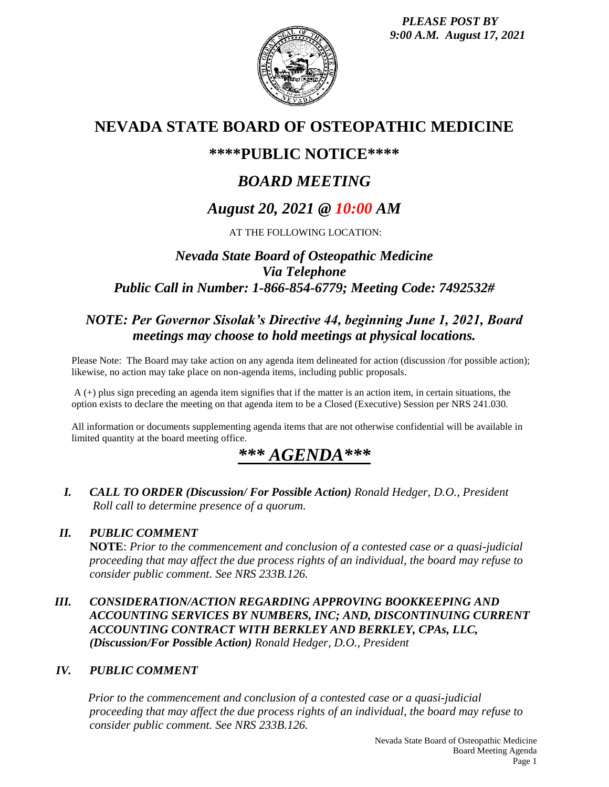*PLEASE POST BY 9:00 A.M. August 17, 2021*



## **NEVADA STATE BOARD OF OSTEOPATHIC MEDICINE**

### **\*\*\*\*PUBLIC NOTICE\*\*\*\***

# *BOARD MEETING*

## *August 20, 2021 @ 10:00 AM*

### AT THE FOLLOWING LOCATION:

### *Nevada State Board of Osteopathic Medicine Via Telephone Public Call in Number: 1-866-854-6779; Meeting Code: 7492532#*

### *NOTE: Per Governor Sisolak's Directive 44, beginning June 1, 2021, Board meetings may choose to hold meetings at physical locations.*

Please Note: The Board may take action on any agenda item delineated for action (discussion /for possible action); likewise, no action may take place on non-agenda items, including public proposals.

A (+) plus sign preceding an agenda item signifies that if the matter is an action item, in certain situations, the option exists to declare the meeting on that agenda item to be a Closed (Executive) Session per NRS 241.030.

All information or documents supplementing agenda items that are not otherwise confidential will be available in limited quantity at the board meeting office.

## *\*\*\* AGENDA\*\*\**

*I. CALL TO ORDER (Discussion/ For Possible Action) Ronald Hedger, D.O., President Roll call to determine presence of a quorum.*

### *II. PUBLIC COMMENT*

**NOTE**: *Prior to the commencement and conclusion of a contested case or a quasi-judicial proceeding that may affect the due process rights of an individual, the board may refuse to consider public comment. See NRS 233B.126.*

#### *III. CONSIDERATION/ACTION REGARDING APPROVING BOOKKEEPING AND ACCOUNTING SERVICES BY NUMBERS, INC; AND, DISCONTINUING CURRENT ACCOUNTING CONTRACT WITH BERKLEY AND BERKLEY, CPAs, LLC, (Discussion/For Possible Action) Ronald Hedger, D.O., President*

### *IV. PUBLIC COMMENT*

*Prior to the commencement and conclusion of a contested case or a quasi-judicial proceeding that may affect the due process rights of an individual, the board may refuse to consider public comment. See NRS 233B.126.*